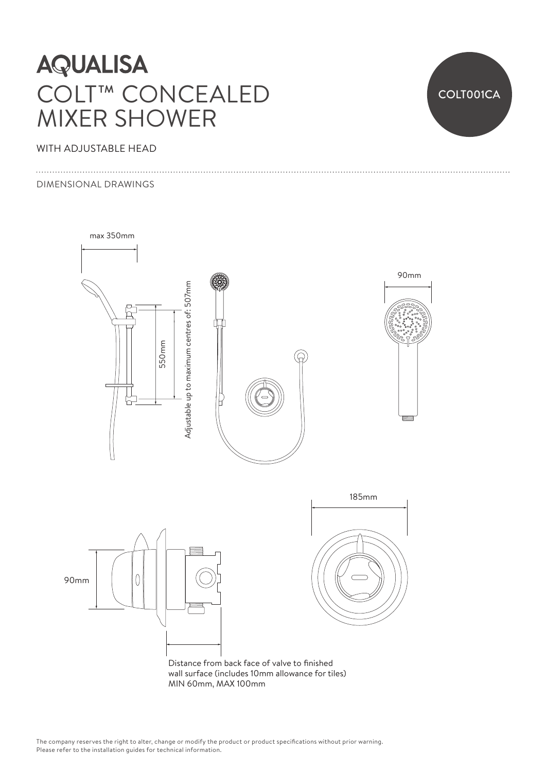# **AQUALISA** COLT™ CONCEALED MIXER SHOWER

### WITH ADJUSTABLE HEAD

#### DIMENSIONAL DRAWINGS





Distance from back face of valve to finished wall surface (includes 10mm allowance for tiles) MIN 60mm, MAX 100mm